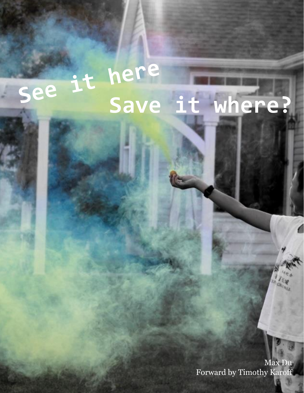## here it see **Save it where?**

1 Max Du Forward by Timothy Karoff

 $\frac{1}{2}$ **CRICINA**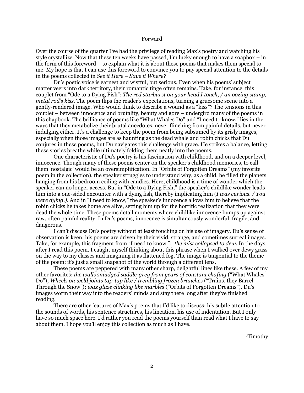## Forward

Over the course of the quarter I've had the privilege of reading Max's poetry and watching his style crystallize. Now that these ten weeks have passed, I'm lucky enough to have a soapbox – in the form of this foreword – to explain what it is about these poems that makes them special to me. My hope is that I can use this foreword to convince you to pay special attention to the details in the poems collected in *See it Here – Save it Where?*

Du's poetic voice is earnest and wistful, but serious. Even when his poems' subject matter veers into dark territory, their romantic tinge often remains. Take, for instance, this couplet from "Ode to a Dying Fish": *The red starburst on your head I touch, / an oozing stamp, metal rod's kiss.* The poem flips the reader's expectations, turning a gruesome scene into a gently-rendered image. Who would think to describe a wound as a "kiss"? The tensions in this couplet – between innocence and brutality, beauty and gore – undergird many of the poems in this chapbook. The brilliance of poems like "What Whales Do" and "I need to know." lies in the ways that they metabolize their brutal anecdotes, never flinching from painful details, but never indulging either. It's a challenge to keep the poem from being subsumed by its grisly images, especially when those images are as haunting as the dead whale and robin chicks that Du conjures in these poems, but Du navigates this challenge with grace. He strikes a balance, letting these stories breathe while ultimately folding them neatly into the poems.

One characteristic of Du's poetry is his fascination with childhood, and on a deeper level, innocence. Though many of these poems center on the speaker's childhood memories, to call them 'nostalgic' would be an oversimplification. In "Orbits of Forgotten Dreams" (my favorite poem in the collection), the speaker struggles to understand why, as a child, he filled the planets hanging from his bedroom ceiling with candies. Here, childhood is a time of wonder which the speaker can no longer access. But in "Ode to a Dying Fish," the speaker's childlike wonder leads him into a one-sided encounter with a dying fish, thereby implicating him (*I was curious. / You were dying.)*. And in "I need to know," the speaker's innocence allows him to believe that the robin chicks he takes home are alive, setting him up for the horrific realization that they were dead the whole time. These poems detail moments where childlike innocence bumps up against raw, often painful reality. In Du's poems, innocence is simultaneously wonderful, fragile, and dangerous.

I can't discuss Du's poetry without at least touching on his use of imagery. Du's sense of observation is keen; his poems are driven by their vivid, strange, and sometimes surreal images. Take, for example, this fragment from "I need to know.": *the mist collapsed to dew*. In the days after I read this poem, I caught myself thinking about this phrase when I walked over dewy grass on the way to my classes and imagining it as flattened fog. The image is tangential to the theme of the poem; it's just a small snapshot of the world through a different lens.

These poems are peppered with many other sharp, delightful lines like these. A few of my other favorites: *the walls smudged saddle-grey from years of constant chafing* ("What Whales Do"); *Wheels on weld joints tap-tap like / trembling frozen branches* ("Trains, they Barrel Through the Snow"); *wax glaze clinking like marbles* ("Orbits of Forgotten Dreams"). Du's images worm their way into the readers' minds and stay there long after they've finished reading.

There are other features of Max's poems that I'd like to discuss: his subtle attention to the sounds of words, his sentence structures, his lineation, his use of indentation. But I only have so much space here. I'd rather you read the poems yourself than read what I have to say about them. I hope you'll enjoy this collection as much as I have.

-Timothy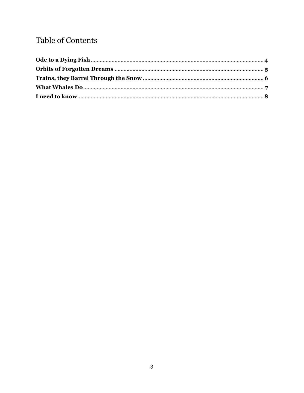## Table of Contents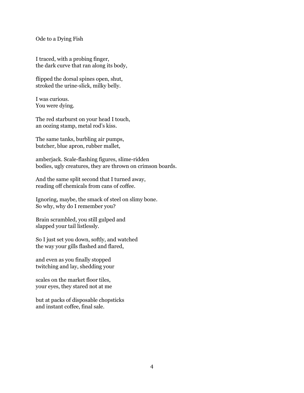Ode to a Dying Fish

I traced, with a probing finger, the dark curve that ran along its body,

flipped the dorsal spines open, shut, stroked the urine-slick, milky belly.

I was curious. You were dying.

The red starburst on your head I touch, an oozing stamp, metal rod's kiss.

The same tanks, burbling air pumps, butcher, blue apron, rubber mallet,

amberjack. Scale-flashing figures, slime-ridden bodies, ugly creatures, they are thrown on crimson boards.

And the same split second that I turned away, reading off chemicals from cans of coffee.

Ignoring, maybe, the smack of steel on slimy bone. So why, why do I remember you?

Brain scrambled, you still gulped and slapped your tail listlessly.

So I just set you down, softly, and watched the way your gills flashed and flared,

and even as you finally stopped twitching and lay, shedding your

scales on the market floor tiles, your eyes, they stared not at me

but at packs of disposable chopsticks and instant coffee, final sale.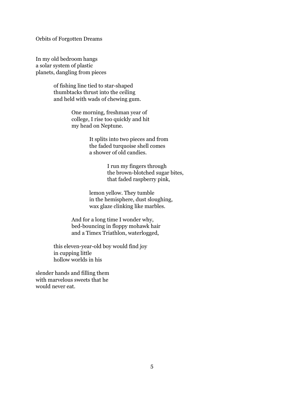Orbits of Forgotten Dreams

In my old bedroom hangs a solar system of plastic planets, dangling from pieces

> of fishing line tied to star-shaped thumbtacks thrust into the ceiling and held with wads of chewing gum.

> > One morning, freshman year of college, I rise too quickly and hit my head on Neptune.

> > > It splits into two pieces and from the faded turquoise shell comes a shower of old candies.

> > > > I run my fingers through the brown-blotched sugar bites, that faded raspberry pink,

lemon yellow. They tumble in the hemisphere, dust sloughing, wax glaze clinking like marbles.

And for a long time I wonder why, bed-bouncing in floppy mohawk hair and a Timex Triathlon, waterlogged,

this eleven-year-old boy would find joy in cupping little hollow worlds in his

slender hands and filling them with marvelous sweets that he would never eat.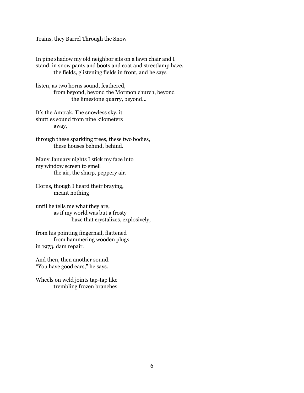Trains, they Barrel Through the Snow

In pine shadow my old neighbor sits on a lawn chair and I stand, in snow pants and boots and coat and streetlamp haze, the fields, glistening fields in front, and he says

listen, as two horns sound, feathered, from beyond, beyond the Mormon church, beyond the limestone quarry, beyond...

It's the Amtrak. The snowless sky, it shuttles sound from nine kilometers away,

through these sparkling trees, these two bodies, these houses behind, behind.

Many January nights I stick my face into my window screen to smell the air, the sharp, peppery air.

Horns, though I heard their braying, meant nothing

until he tells me what they are, as if my world was but a frosty haze that crystalizes, explosively,

from his pointing fingernail, flattened from hammering wooden plugs in 1973, dam repair.

And then, then another sound. "You have good ears," he says.

Wheels on weld joints tap-tap like trembling frozen branches.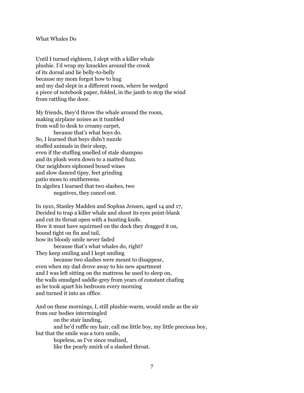## What Whales Do

Until I turned eighteen, I slept with a killer whale plushie. I'd wrap my knuckles around the crook of its dorsal and lie belly-to-belly because my mom forgot how to hug and my dad slept in a different room, where he wedged a piece of notebook paper, folded, in the jamb to stop the wind from rattling the door.

My friends, they'd throw the whale around the room, making airplane noises as it tumbled from wall to desk to creamy carpet, because that's what boys do. So, I learned that boys didn't nuzzle stuffed animals in their sleep, even if the stuffing smelled of stale shampoo and its plush worn down to a matted fuzz. Our neighbors siphoned boxed wines and slow danced tipsy, feet grinding patio moss to smithereens. In algebra I learned that two slashes, two negatives, they cancel out.

In 1910, Stanley Madden and Sophus Jensen, aged 14 and 17, Decided to trap a killer whale and shoot its eyes point-blank and cut its throat open with a hunting knife. How it must have squirmed on the dock they dragged it on, bound tight on fin and tail, how its bloody smile never faded because that's what whales do, right? They keep smiling and I kept smiling because two slashes were meant to disappear, even when my dad drove away to his new apartment and I was left sitting on the mattress he used to sleep on, the walls smudged saddle-grey from years of constant chafing as he took apart his bedroom every morning and turned it into an office.

And on these mornings, I, still plushie-warm, would smile as the air from our bodies intermingled on the stair landing, and he'd ruffle my hair, call me little boy, my little precious boy, but that the smile was a torn smile, hopeless, as I've since realized, like the pearly smirk of a slashed throat.